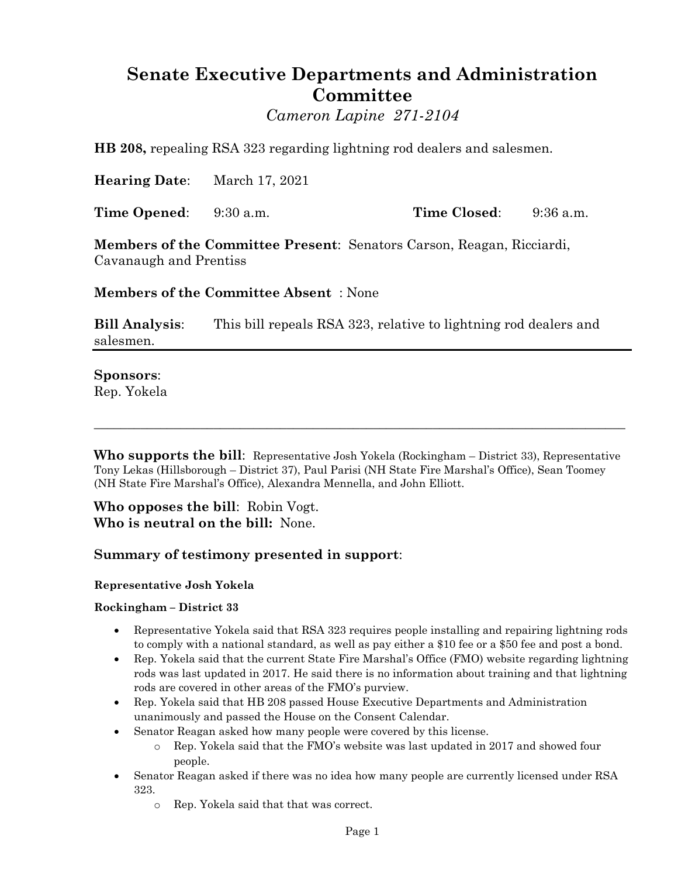# **Senate Executive Departments and Administration Committee**

*Cameron Lapine 271-2104*

**HB 208,** repealing RSA 323 regarding lightning rod dealers and salesmen.

**Hearing Date**: March 17, 2021

**Time Opened**: 9:30 a.m. **Time Closed**: 9:36 a.m.

**Members of the Committee Present**: Senators Carson, Reagan, Ricciardi, Cavanaugh and Prentiss

**Members of the Committee Absent** : None

**Bill Analysis**: This bill repeals RSA 323, relative to lightning rod dealers and salesmen.

# **Sponsors**:

Rep. Yokela

**Who supports the bill**: Representative Josh Yokela (Rockingham – District 33), Representative Tony Lekas (Hillsborough – District 37), Paul Parisi (NH State Fire Marshal's Office), Sean Toomey (NH State Fire Marshal's Office), Alexandra Mennella, and John Elliott.

 $\_$  , and the set of the set of the set of the set of the set of the set of the set of the set of the set of the set of the set of the set of the set of the set of the set of the set of the set of the set of the set of th

**Who opposes the bill**: Robin Vogt. **Who is neutral on the bill:** None.

# **Summary of testimony presented in support**:

## **Representative Josh Yokela**

## **Rockingham – District 33**

- Representative Yokela said that RSA 323 requires people installing and repairing lightning rods to comply with a national standard, as well as pay either a \$10 fee or a \$50 fee and post a bond.
- Rep. Yokela said that the current State Fire Marshal's Office (FMO) website regarding lightning rods was last updated in 2017. He said there is no information about training and that lightning rods are covered in other areas of the FMO's purview.
- Rep. Yokela said that HB 208 passed House Executive Departments and Administration unanimously and passed the House on the Consent Calendar.
- Senator Reagan asked how many people were covered by this license.
	- o Rep. Yokela said that the FMO's website was last updated in 2017 and showed four people.
- Senator Reagan asked if there was no idea how many people are currently licensed under RSA 323.
	- o Rep. Yokela said that that was correct.